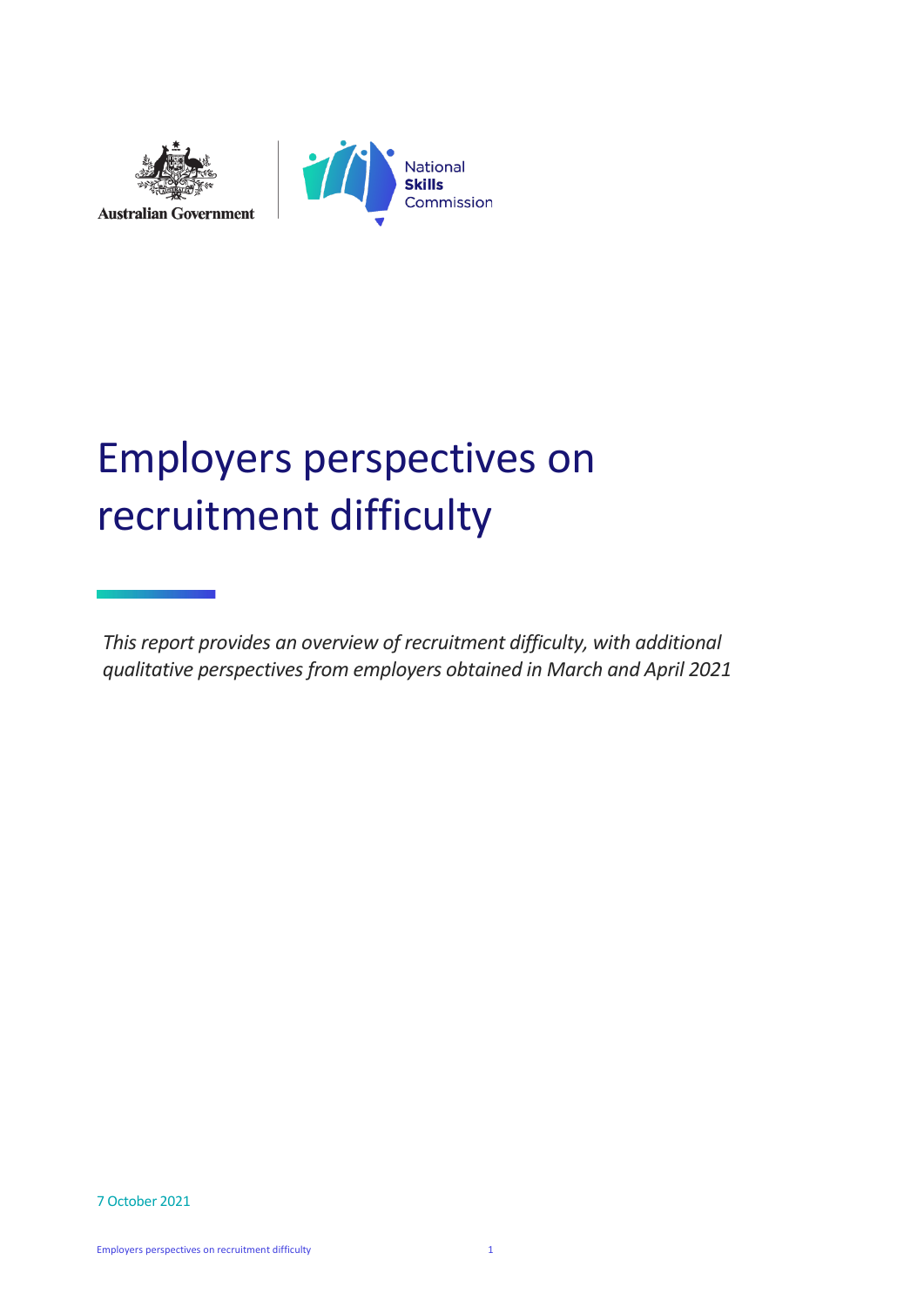



# Employers perspectives on recruitment difficulty

*This report provides an overview of recruitment difficulty, with additional qualitative perspectives from employers obtained in March and April 2021*

7 October 2021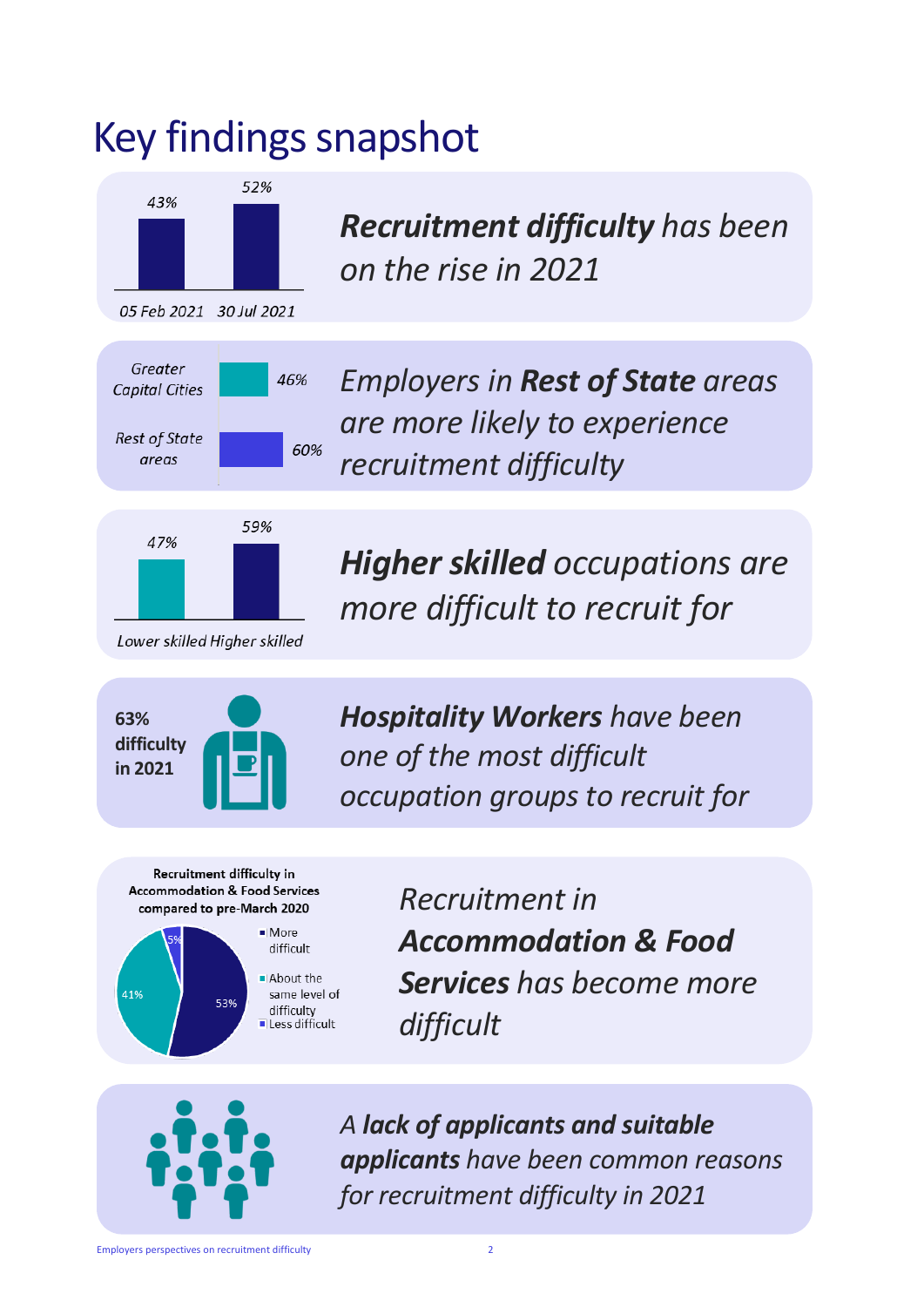# Key findings snapshot



*Recruitment difficulty has been on the rise in 2021*

*Employers in Rest of State areas are more likely to experience recruitment difficulty*



*Higher skilled occupations are more difficult to recruit for*



*Hospitality Workers have been one of the most difficult occupation groups to recruit for*

Recruitment difficulty in **Accommodation & Food Services** compared to pre-March 2020



*Recruitment in Accommodation & Food Services has become more difficult*



*A lack of applicants and suitable applicants have been common reasons for recruitment difficulty in 2021*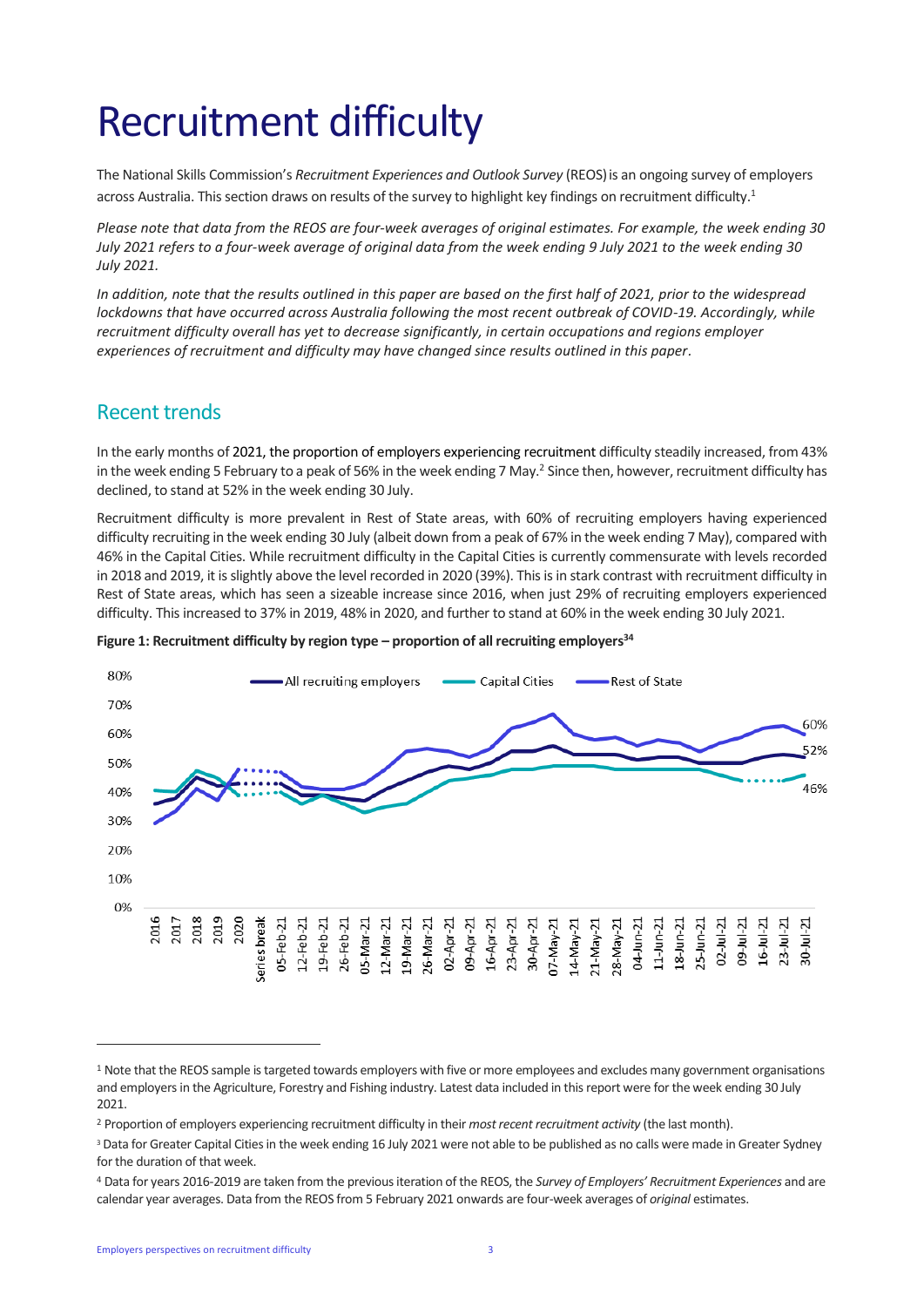# Recruitment difficulty

The National Skills Commission's *Recruitment Experiences and Outlook Survey* (REOS)is an ongoing survey of employers across Australia. This section draws on results of the survey to highlight key findings on recruitment difficulty.<sup>1</sup>

*Please note that data from the REOS are four-week averages of original estimates. For example, the week ending 30 July 2021 refers to a four-week average of original data from the week ending 9 July 2021 to the week ending 30 July 2021.*

*In addition, note that the results outlined in this paper are based on the first half of 2021, prior to the widespread lockdowns that have occurred across Australia following the most recent outbreak of COVID-19. Accordingly, while recruitment difficulty overall has yet to decrease significantly, in certain occupations and regions employer experiences of recruitment and difficulty may have changed since results outlined in this paper.*

### Recent trends

In the early months of 2021, the proportion of employers experiencing recruitment difficulty steadily increased, from 43% in the week ending 5 February to a peak of 56% in the week ending 7 May.<sup>2</sup> Since then, however, recruitment difficulty has declined, to stand at 52% in the week ending 30 July.

Recruitment difficulty is more prevalent in Rest of State areas, with 60% of recruiting employers having experienced difficulty recruiting in the week ending 30 July (albeit down from a peak of 67% in the week ending 7 May), compared with 46% in the Capital Cities. While recruitment difficulty in the Capital Cities is currently commensurate with levels recorded in 2018 and 2019, it is slightly above the level recorded in 2020 (39%). This is in stark contrast with recruitment difficulty in Rest of State areas, which has seen a sizeable increase since 2016, when just 29% of recruiting employers experienced difficulty. This increased to 37% in 2019, 48% in 2020, and further to stand at 60% in the week ending 30 July 2021.



#### **Figure 1: Recruitment difficulty by region type – proportion of all recruiting employers<sup>34</sup>**

<sup>&</sup>lt;sup>1</sup> Note that the REOS sample is targeted towards employers with five or more employees and excludes many government organisations and employers in the Agriculture, Forestry and Fishing industry. Latest data included in this report were for the week ending 30 July 2021.

<sup>2</sup> Proportion of employers experiencing recruitment difficulty in their *most recent recruitment activity* (the last month).

<sup>&</sup>lt;sup>3</sup> Data for Greater Capital Cities in the week ending 16 July 2021 were not able to be published as no calls were made in Greater Sydney for the duration of that week.

<sup>4</sup> Data for years 2016-2019 are taken from the previous iteration of the REOS, the *Survey of Employers' Recruitment Experiences* and are calendar year averages. Data from the REOS from 5 February 2021 onwards are four-week averages of *original* estimates.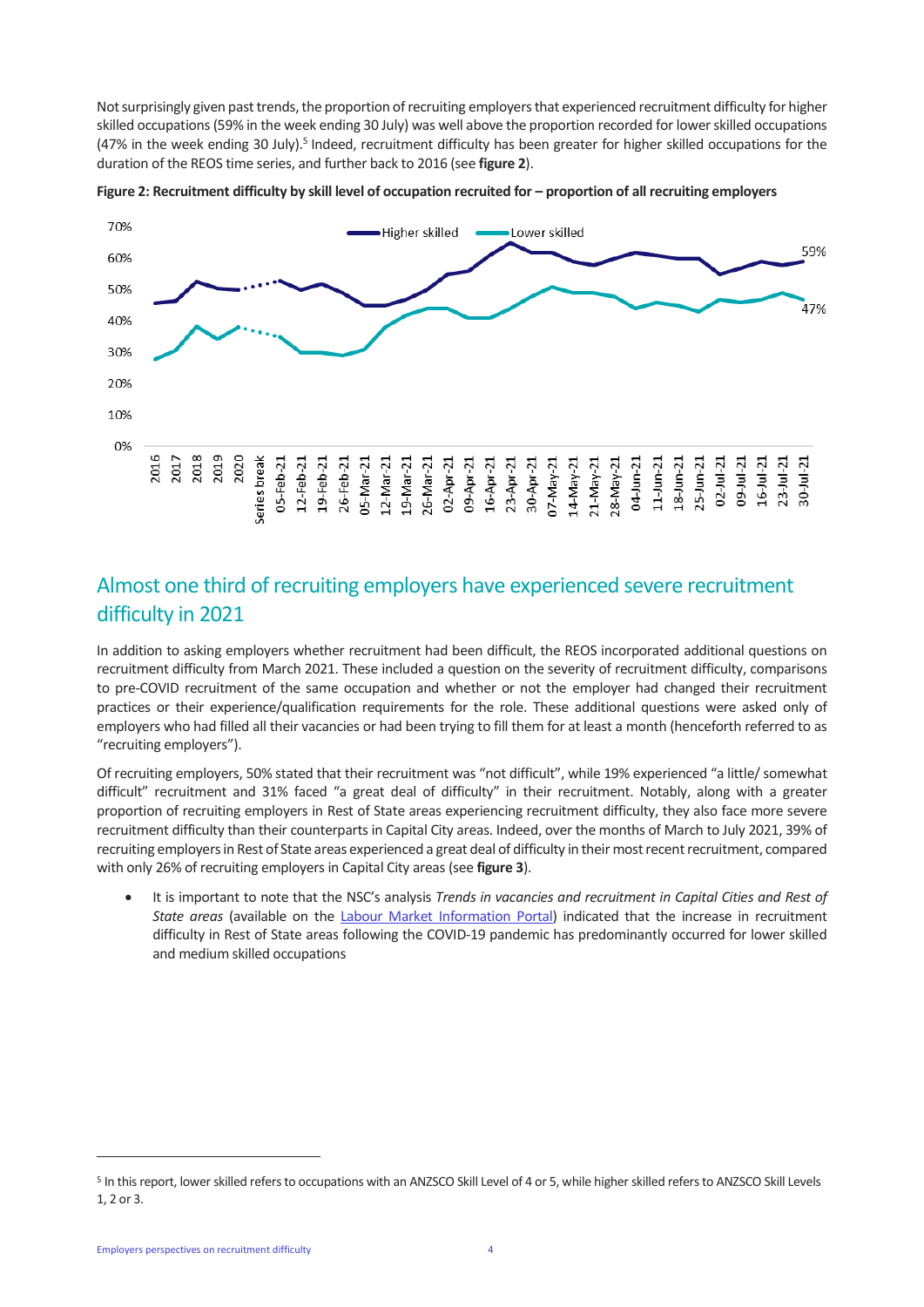Not surprisingly given past trends, the proportion of recruiting employers that experienced recruitment difficulty for higher skilled occupations(59% in the week ending 30 July) was well above the proportion recorded for lower skilled occupations (47% in the week ending 30 July).<sup>5</sup> Indeed, recruitment difficulty has been greater for higher skilled occupations for the duration of the REOS time series, and further back to 2016 (see **figure 2**).



Figure 2: Recruitment difficulty by skill level of occupation recruited for – proportion of all recruiting employers

## Almost one third of recruiting employers have experienced severe recruitment difficulty in 2021

In addition to asking employers whether recruitment had been difficult, the REOS incorporated additional questions on recruitment difficulty from March 2021. These included a question on the severity of recruitment difficulty, comparisons to pre-COVID recruitment of the same occupation and whether or not the employer had changed their recruitment practices or their experience/qualification requirements for the role. These additional questions were asked only of employers who had filled all their vacancies or had been trying to fill them for at least a month (henceforth referred to as "recruiting employers").

Of recruiting employers, 50% stated that their recruitment was "not difficult", while 19% experienced "a little/ somewhat difficult" recruitment and 31% faced "a great deal of difficulty" in their recruitment. Notably, along with a greater proportion of recruiting employers in Rest of State areas experiencing recruitment difficulty, they also face more severe recruitment difficulty than their counterparts in Capital City areas. Indeed, over the months of March to July 2021, 39% of recruiting employers in Rest of State areas experienced a great deal of difficulty in their most recent recruitment, compared with only 26% of recruiting employers in Capital City areas (see **figure 3**).

• It is important to note that the NSC's analysis *Trends in vacancies and recruitment in Capital Cities and Rest of State areas* (available on the [Labour Market Information Portal\)](https://lmip.gov.au/default.aspx?LMIP/GainInsights/EmployersRecruitmentInsights) indicated that the increase in recruitment difficulty in Rest of State areas following the COVID-19 pandemic has predominantly occurred for lower skilled and medium skilled occupations

<sup>&</sup>lt;sup>5</sup> In this report, lower skilled refers to occupations with an ANZSCO Skill Level of 4 or 5, while higher skilled refers to ANZSCO Skill Levels 1, 2 or 3.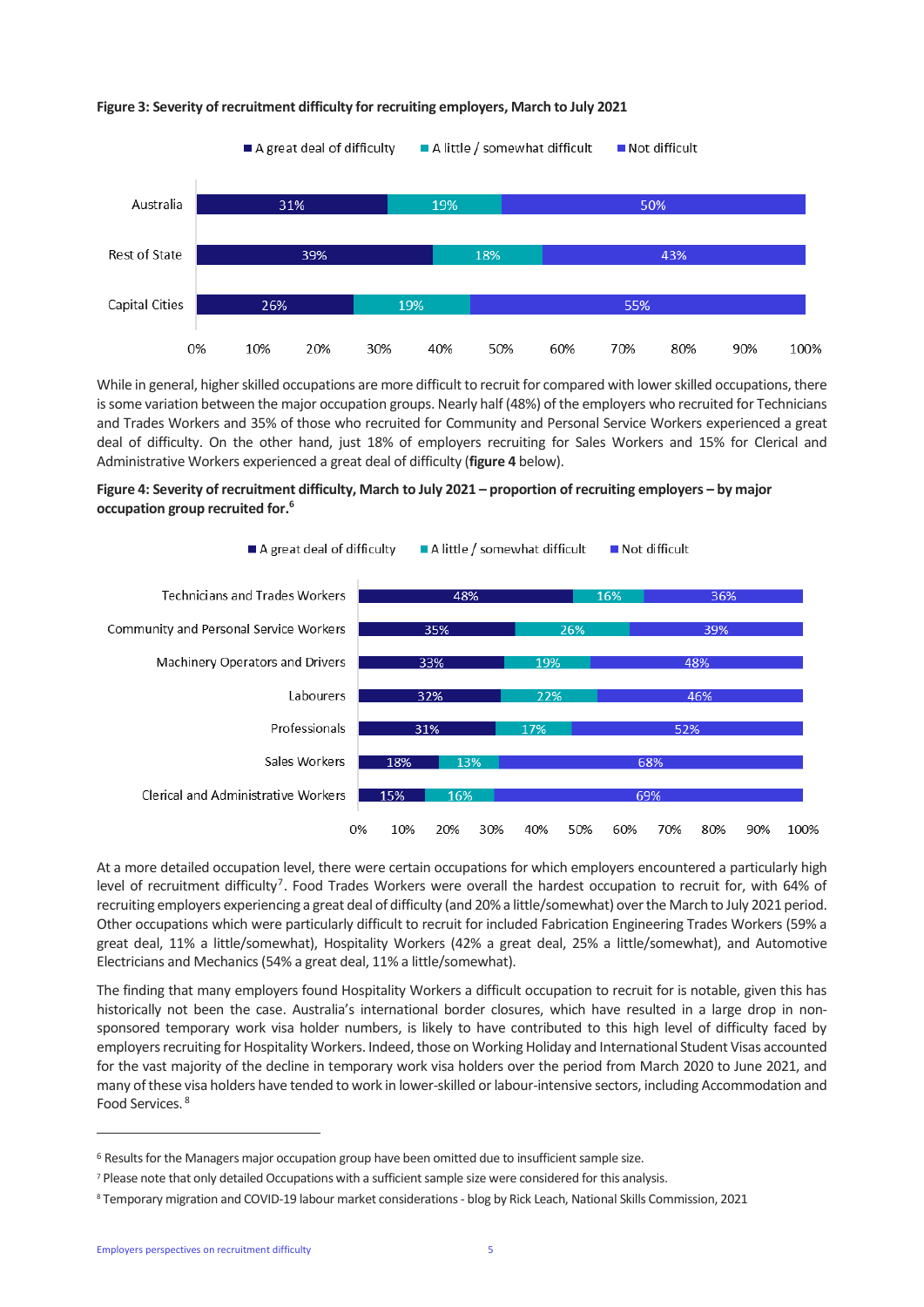

#### **Figure 3: Severity of recruitment difficulty for recruiting employers, March to July 2021**

While in general, higher skilled occupations are more difficult to recruit for compared with lower skilled occupations, there is some variation between the major occupation groups. Nearly half (48%) of the employers who recruited for Technicians and Trades Workers and 35% of those who recruited for Community and Personal Service Workers experienced a great deal of difficulty. On the other hand, just 18% of employers recruiting for Sales Workers and 15% for Clerical and Administrative Workers experienced a great deal of difficulty (**figure 4** below).





At a more detailed occupation level, there were certain occupations for which employers encountered a particularly high level of recruitment difficulty<sup>7</sup>. Food Trades Workers were overall the hardest occupation to recruit for, with 64% of recruiting employers experiencing a great deal of difficulty (and 20% a little/somewhat) over the March to July 2021 period. Other occupations which were particularly difficult to recruit for included Fabrication Engineering Trades Workers (59% a great deal, 11% a little/somewhat), Hospitality Workers (42% a great deal, 25% a little/somewhat), and Automotive Electricians and Mechanics (54% a great deal, 11% a little/somewhat).

The finding that many employers found Hospitality Workers a difficult occupation to recruit for is notable, given this has historically not been the case. Australia's international border closures, which have resulted in a large drop in nonsponsored temporary work visa holder numbers, is likely to have contributed to this high level of difficulty faced by employers recruiting for Hospitality Workers. Indeed, those on Working Holiday and International Student Visas accounted for the vast majority of the decline in temporary work visa holders over the period from March 2020 to June 2021, and many of these visa holders have tended to work in lower-skilled or labour-intensive sectors, including Accommodation and Food Services. 8

<sup>6</sup> Results for the Managers major occupation group have been omitted due to insufficient sample size.

<sup>7</sup> Please note that only detailed Occupations with a sufficient sample size were considered for this analysis.

<sup>8</sup> Temporary migration and COVID-19 labour market considerations - blog by Rick Leach, National Skills Commission, 2021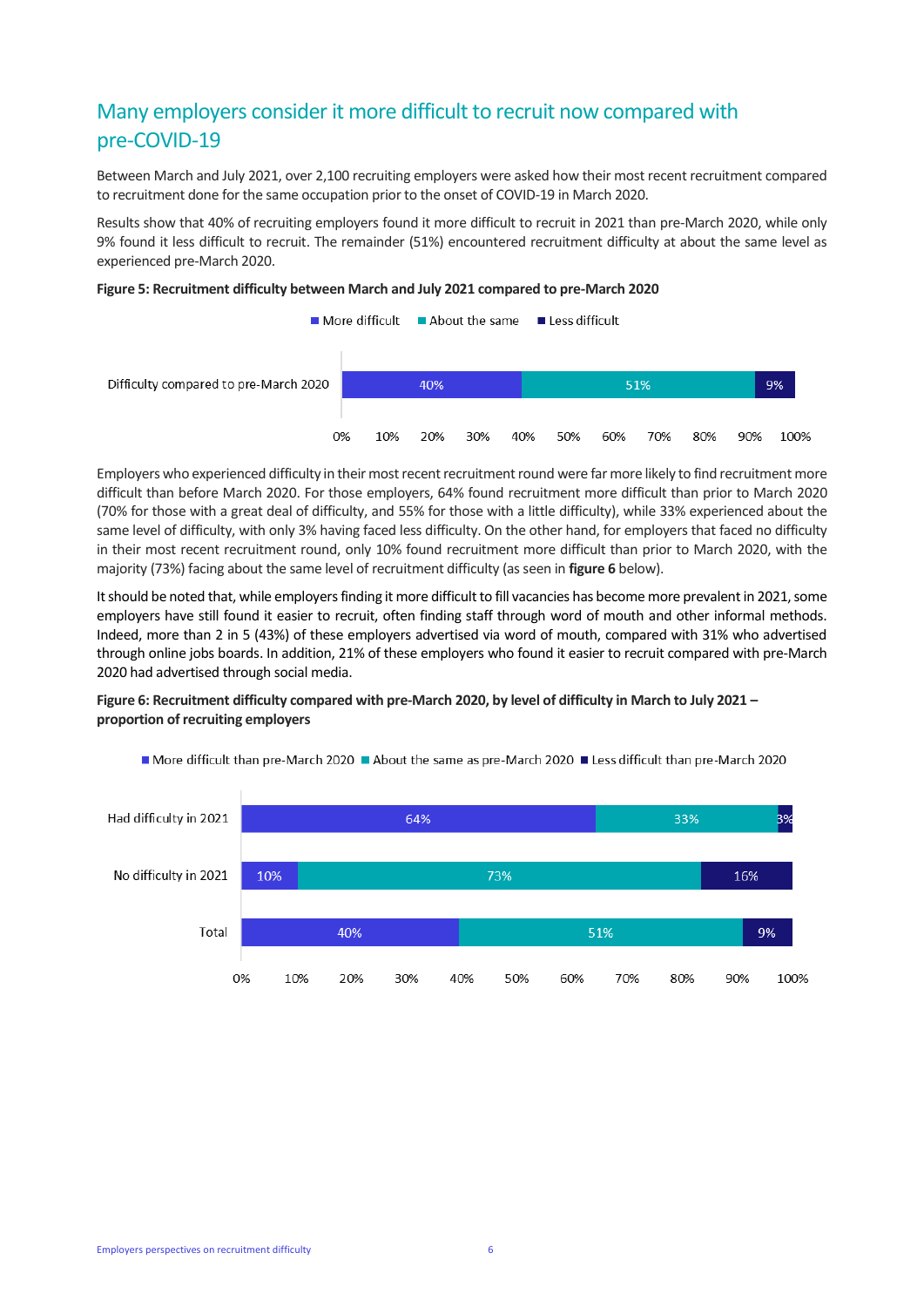# Many employers consider it more difficult to recruit now compared with pre-COVID-19

Between March and July 2021, over 2,100 recruiting employers were asked how their most recent recruitment compared to recruitment done for the same occupation prior to the onset of COVID-19 in March 2020.

Results show that 40% of recruiting employers found it more difficult to recruit in 2021 than pre-March 2020, while only 9% found it less difficult to recruit. The remainder (51%) encountered recruitment difficulty at about the same level as experienced pre-March 2020.

#### **Figure 5: Recruitment difficulty between March and July 2021 compared to pre-March 2020**



Employers who experienced difficulty in their most recent recruitment round were far more likely to find recruitment more difficult than before March 2020. For those employers, 64% found recruitment more difficult than prior to March 2020 (70% for those with a great deal of difficulty, and 55% for those with a little difficulty), while 33% experienced about the same level of difficulty, with only 3% having faced less difficulty. On the other hand, for employers that faced no difficulty in their most recent recruitment round, only 10% found recruitment more difficult than prior to March 2020, with the majority (73%) facing about the same level of recruitment difficulty (as seen in **figure 6** below).

It should be noted that, while employers finding it more difficult to fill vacancies has become more prevalent in 2021, some employers have still found it easier to recruit, often finding staff through word of mouth and other informal methods. Indeed, more than 2 in 5 (43%) of these employers advertised via word of mouth, compared with 31% who advertised through online jobs boards. In addition, 21% of these employers who found it easier to recruit compared with pre-March 2020 had advertised through social media.

#### **Figure 6: Recruitment difficulty compared with pre-March 2020, by level of difficulty in March to July 2021 – proportion of recruiting employers**



More difficult than pre-March 2020 About the same as pre-March 2020 Aless difficult than pre-March 2020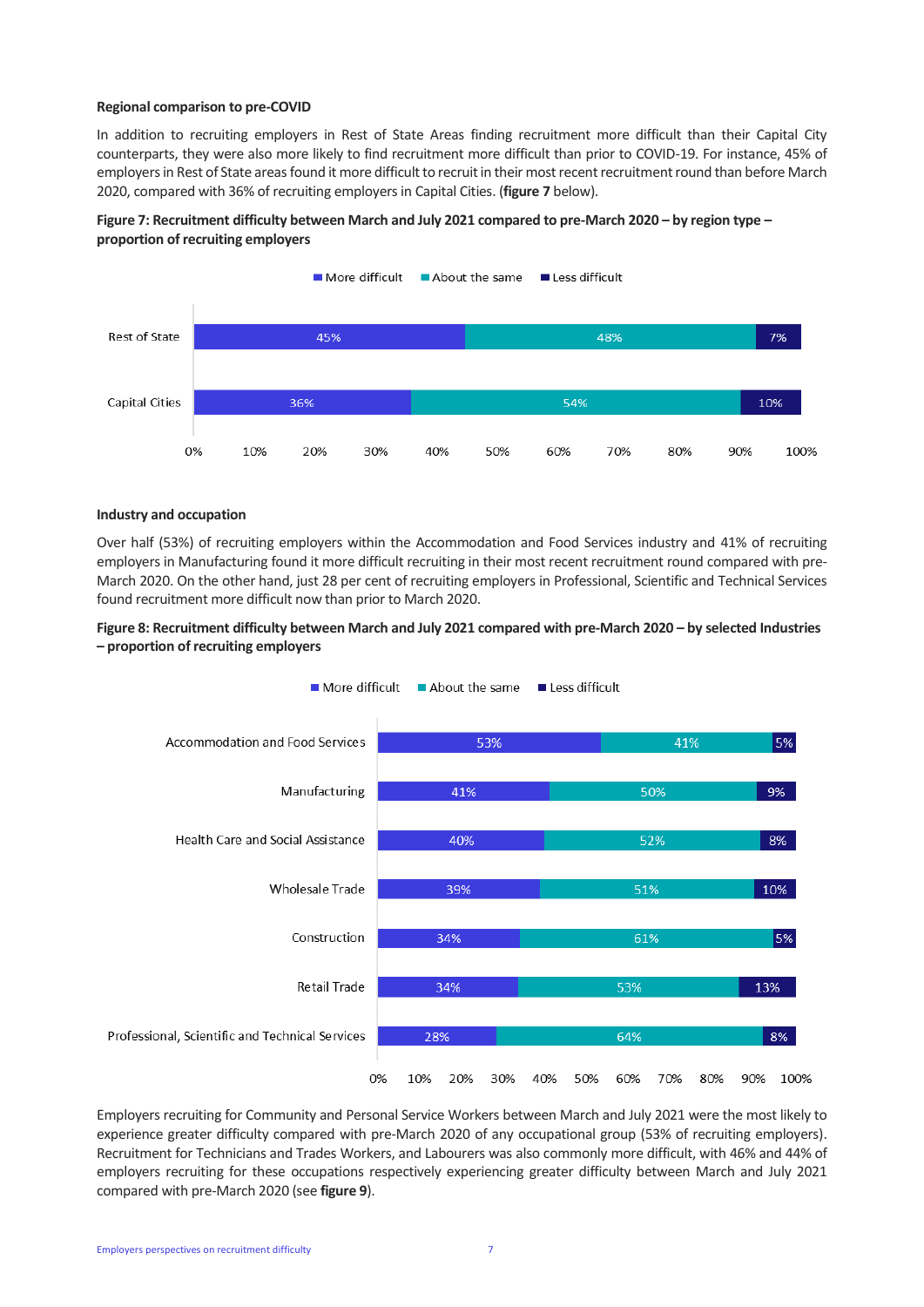#### **Regional comparison to pre-COVID**

In addition to recruiting employers in Rest of State Areas finding recruitment more difficult than their Capital City counterparts, they were also more likely to find recruitment more difficult than prior to COVID-19. For instance, 45% of employers in Rest of State areasfound it more difficult to recruit in their most recent recruitment round than before March 2020, compared with 36% of recruiting employers in Capital Cities. (**figure 7** below).

#### **Figure 7: Recruitment difficulty between March and July 2021 compared to pre-March 2020 – by region type – proportion of recruiting employers**



#### **Industry and occupation**

Over half (53%) of recruiting employers within the Accommodation and Food Services industry and 41% of recruiting employers in Manufacturing found it more difficult recruiting in their most recent recruitment round compared with pre-March 2020. On the other hand, just 28 per cent of recruiting employers in Professional, Scientific and Technical Services found recruitment more difficult now than prior to March 2020.

#### **Figure 8: Recruitment difficulty between March and July 2021 compared with pre-March 2020 – by selected Industries – proportion of recruiting employers**



Employers recruiting for Community and Personal Service Workers between March and July 2021 were the most likely to experience greater difficulty compared with pre-March 2020 of any occupational group (53% of recruiting employers). Recruitment for Technicians and Trades Workers, and Labourers was also commonly more difficult, with 46% and 44% of employers recruiting for these occupations respectively experiencing greater difficulty between March and July 2021 compared with pre-March 2020 (see **figure 9**).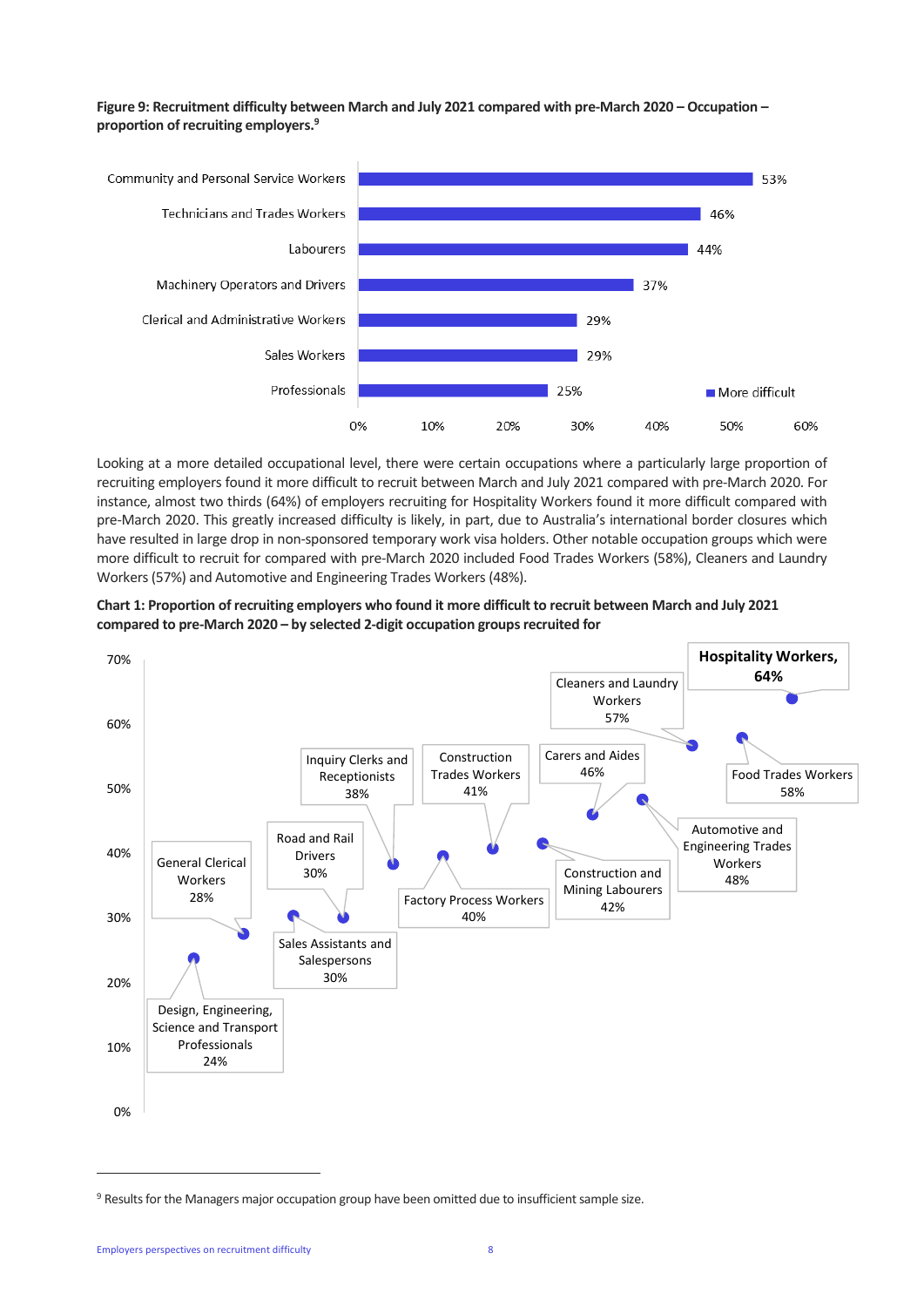#### **Figure 9: Recruitment difficulty between March and July 2021 compared with pre-March 2020 – Occupation – proportion of recruiting employers. 9**



Looking at a more detailed occupational level, there were certain occupations where a particularly large proportion of recruiting employers found it more difficult to recruit between March and July 2021 compared with pre-March 2020. For instance, almost two thirds (64%) of employers recruiting for Hospitality Workers found it more difficult compared with pre-March 2020. This greatly increased difficulty is likely, in part, due to Australia's international border closures which have resulted in large drop in non-sponsored temporary work visa holders. Other notable occupation groups which were more difficult to recruit for compared with pre-March 2020 included Food Trades Workers (58%), Cleaners and Laundry Workers (57%) and Automotive and Engineering Trades Workers(48%).





<sup>9</sup> Results for the Managers major occupation group have been omitted due to insufficient sample size.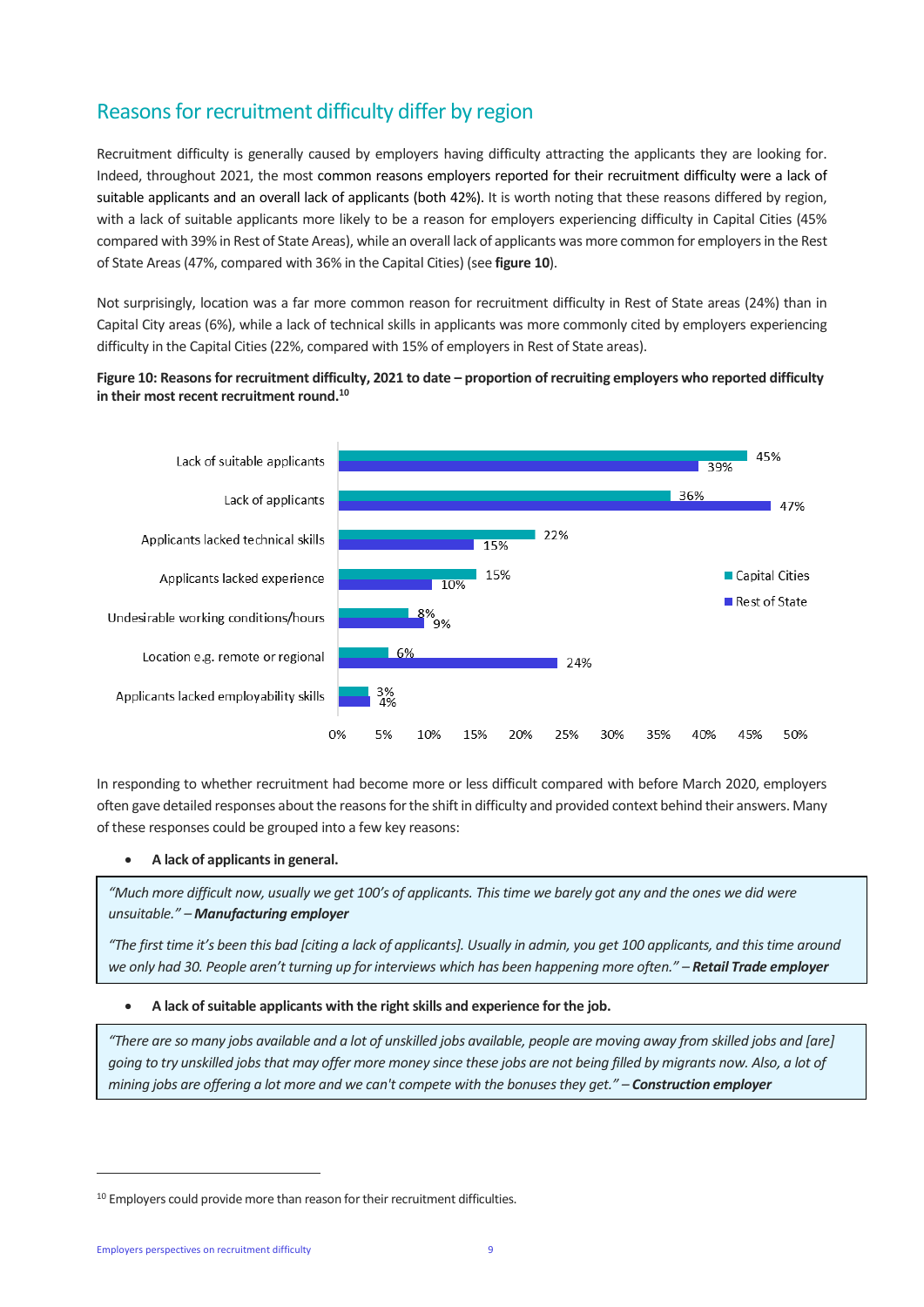# Reasons for recruitment difficulty differ by region

Recruitment difficulty is generally caused by employers having difficulty attracting the applicants they are looking for. Indeed, throughout 2021, the most common reasons employers reported for their recruitment difficulty were a lack of suitable applicants and an overall lack of applicants (both 42%). It is worth noting that these reasons differed by region, with a lack of suitable applicants more likely to be a reason for employers experiencing difficulty in Capital Cities (45% compared with 39% in Rest of State Areas), while an overall lack of applicants was more common for employers in the Rest of State Areas (47%, compared with 36% in the Capital Cities) (see **figure 10**).

Not surprisingly, location was a far more common reason for recruitment difficulty in Rest of State areas (24%) than in Capital City areas (6%), while a lack of technical skills in applicants was more commonly cited by employers experiencing difficulty in the Capital Cities (22%, compared with 15% of employers in Rest of State areas).

#### Figure 10: Reasons for recruitment difficulty, 2021 to date – proportion of recruiting employers who reported difficulty **in their most recent recruitment round. 10**



In responding to whether recruitment had become more or less difficult compared with before March 2020, employers often gave detailed responses about the reasons for the shift in difficulty and provided context behind their answers. Many of these responses could be grouped into a few key reasons:

#### • **A lack of applicants in general.**

*"Much more difficult now, usually we get 100's of applicants. This time we barely got any and the ones we did were unsuitable." – Manufacturing employer*

*"The first time it's been this bad [citing a lack of applicants]. Usually in admin, you get 100 applicants, and this time around we only had 30. People aren't turning up for interviews which has been happening more often." – Retail Trade employer*

#### • **A lack of suitable applicants with the right skills and experience for the job.**

*"There are so many jobs available and a lot of unskilled jobs available, people are moving away from skilled jobs and [are] going to try unskilled jobs that may offer more money since these jobs are not being filled by migrants now. Also, a lot of mining jobs are offering a lot more and we can't compete with the bonuses they get." – Construction employer*

<sup>&</sup>lt;sup>10</sup> Employers could provide more than reason for their recruitment difficulties.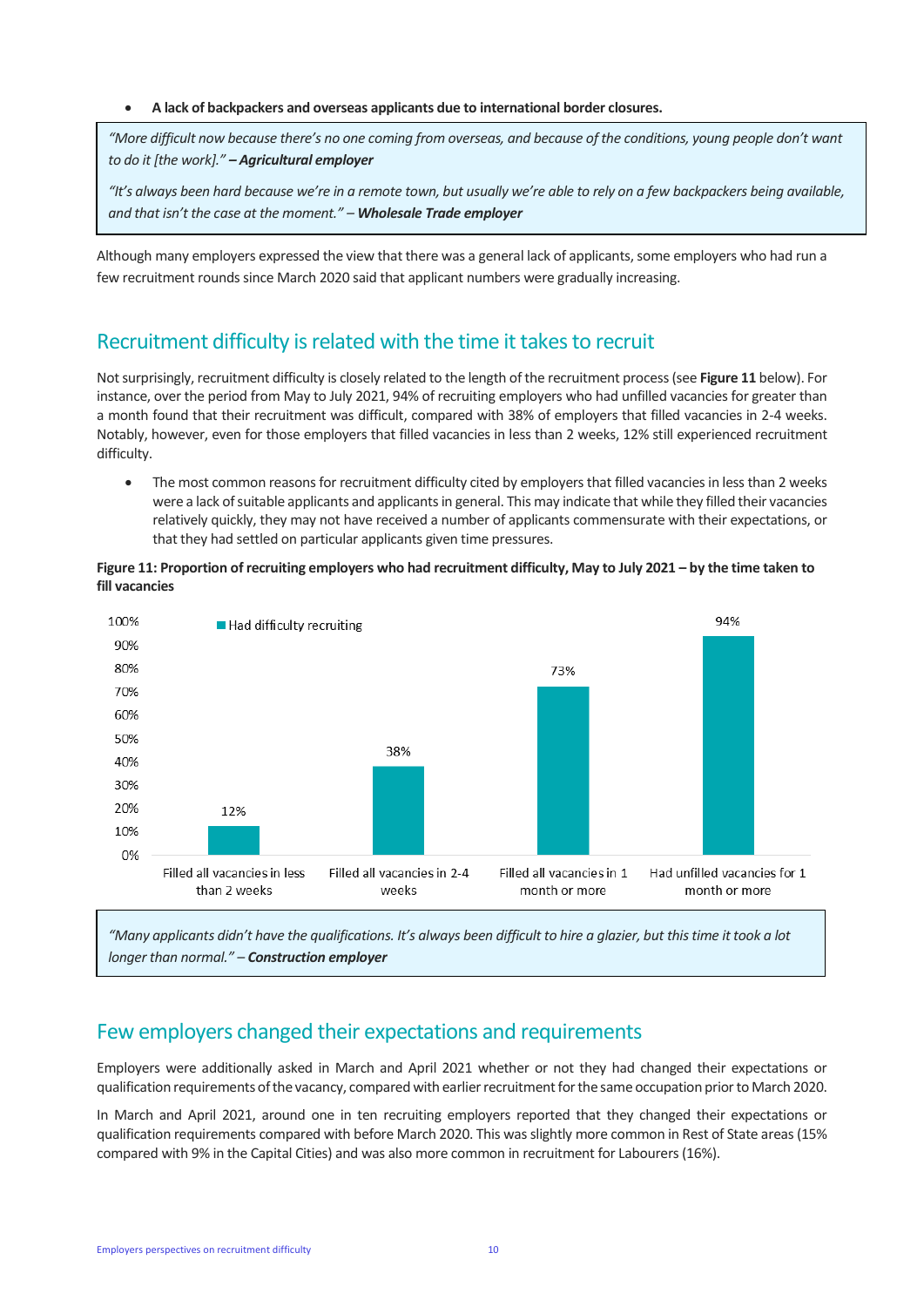#### • **A lack of backpackers and overseas applicants due to international border closures.**

*"More difficult now because there's no one coming from overseas, and because of the conditions, young people don't want to do it [the work]." – Agricultural employer*

*"It's always been hard because we're in a remote town, but usually we're able to rely on a few backpackers being available, and that isn't the case at the moment." – Wholesale Trade employer*

Although many employers expressed the view that there was a general lack of applicants, some employers who had run a few recruitment rounds since March 2020 said that applicant numbers were gradually increasing.

## Recruitment difficulty is related with the time it takes to recruit

Not surprisingly, recruitment difficulty is closely related to the length of the recruitment process(see **Figure 11** below). For instance, over the period from May to July 2021, 94% of recruiting employers who had unfilled vacancies for greater than a month found that their recruitment was difficult, compared with 38% of employers that filled vacancies in 2-4 weeks. Notably, however, even for those employers that filled vacancies in less than 2 weeks, 12% still experienced recruitment difficulty.

• The most common reasons for recruitment difficulty cited by employers that filled vacancies in less than 2 weeks were a lack of suitable applicants and applicants in general. This may indicate that while they filled their vacancies relatively quickly, they may not have received a number of applicants commensurate with their expectations, or that they had settled on particular applicants given time pressures.





*"Many applicants didn't have the qualifications. It's always been difficult to hire a glazier, but this time it took a lot longer than normal." – Construction employer*

### Few employers changed their expectations and requirements

Employers were additionally asked in March and April 2021 whether or not they had changed their expectations or qualification requirements of the vacancy, compared with earlier recruitment for the same occupation prior to March 2020.

In March and April 2021, around one in ten recruiting employers reported that they changed their expectations or qualification requirements compared with before March 2020. This was slightly more common in Rest of State areas (15% compared with 9% in the Capital Cities) and was also more common in recruitment for Labourers(16%).